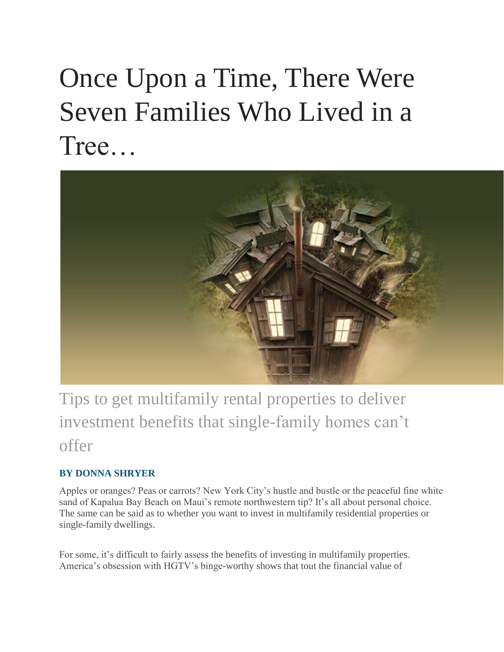# Once Upon a Time, There Were Seven Families Who Lived in a Tree…



Tips to get multifamily rental properties to deliver investment benefits that single-family homes can't offer

# **BY DONNA SHRYER**

Apples or oranges? Peas or carrots? New York City's hustle and bustle or the peaceful fine white sand of Kapalua Bay Beach on Maui's remote northwestern tip? It's all about personal choice. The same can be said as to whether you want to invest in multifamily residential properties or single-family dwellings.

For some, it's difficult to fairly assess the benefits of investing in multifamily properties. America's obsession with HGTV's binge-worthy shows that tout the financial value of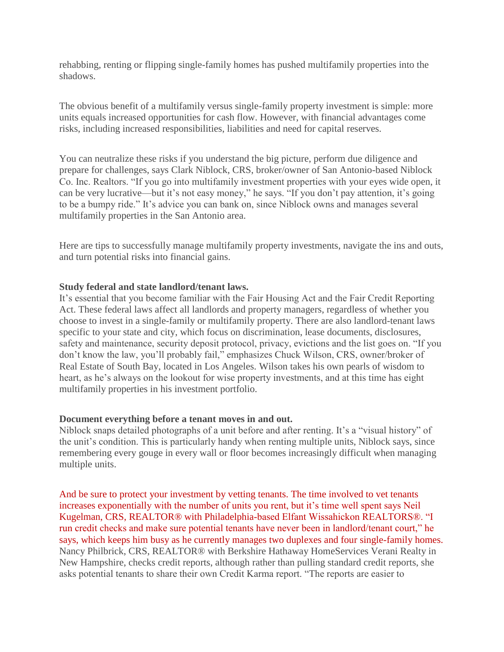rehabbing, renting or flipping single-family homes has pushed multifamily properties into the shadows.

The obvious benefit of a multifamily versus single-family property investment is simple: more units equals increased opportunities for cash flow. However, with financial advantages come risks, including increased responsibilities, liabilities and need for capital reserves.

You can neutralize these risks if you understand the big picture, perform due diligence and prepare for challenges, says Clark Niblock, CRS, broker/owner of San Antonio-based Niblock Co. Inc. Realtors. "If you go into multifamily investment properties with your eyes wide open, it can be very lucrative—but it's not easy money," he says. "If you don't pay attention, it's going to be a bumpy ride." It's advice you can bank on, since Niblock owns and manages several multifamily properties in the San Antonio area.

Here are tips to successfully manage multifamily property investments, navigate the ins and outs, and turn potential risks into financial gains.

# **Study federal and state landlord/tenant laws.**

It's essential that you become familiar with the Fair Housing Act and the Fair Credit Reporting Act. These federal laws affect all landlords and property managers, regardless of whether you choose to invest in a single-family or multifamily property. There are also landlord-tenant laws specific to your state and city, which focus on discrimination, lease documents, disclosures, safety and maintenance, security deposit protocol, privacy, evictions and the list goes on. "If you don't know the law, you'll probably fail," emphasizes Chuck Wilson, CRS, owner/broker of Real Estate of South Bay, located in Los Angeles. Wilson takes his own pearls of wisdom to heart, as he's always on the lookout for wise property investments, and at this time has eight multifamily properties in his investment portfolio.

# **Document everything before a tenant moves in and out.**

Niblock snaps detailed photographs of a unit before and after renting. It's a "visual history" of the unit's condition. This is particularly handy when renting multiple units, Niblock says, since remembering every gouge in every wall or floor becomes increasingly difficult when managing multiple units.

And be sure to protect your investment by vetting tenants. The time involved to vet tenants increases exponentially with the number of units you rent, but it's time well spent says Neil Kugelman, CRS, REALTOR® with Philadelphia-based Elfant Wissahickon REALTORS®. "I run credit checks and make sure potential tenants have never been in landlord/tenant court," he says, which keeps him busy as he currently manages two duplexes and four single-family homes. Nancy Philbrick, CRS, REALTOR® with Berkshire Hathaway HomeServices Verani Realty in New Hampshire, checks credit reports, although rather than pulling standard credit reports, she asks potential tenants to share their own Credit Karma report. "The reports are easier to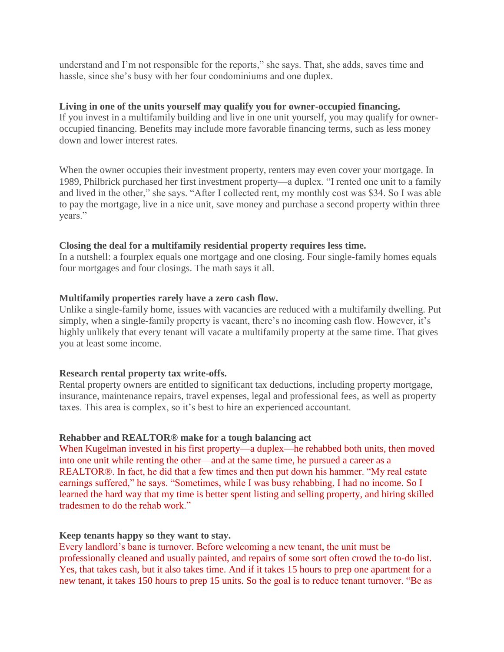understand and I'm not responsible for the reports," she says. That, she adds, saves time and hassle, since she's busy with her four condominiums and one duplex.

### **Living in one of the units yourself may qualify you for owner-occupied financing.**

If you invest in a multifamily building and live in one unit yourself, you may qualify for owneroccupied financing. Benefits may include more favorable financing terms, such as less money down and lower interest rates.

When the owner occupies their investment property, renters may even cover your mortgage. In 1989, Philbrick purchased her first investment property—a duplex. "I rented one unit to a family and lived in the other," she says. "After I collected rent, my monthly cost was \$34. So I was able to pay the mortgage, live in a nice unit, save money and purchase a second property within three years."

### **Closing the deal for a multifamily residential property requires less time.**

In a nutshell: a fourplex equals one mortgage and one closing. Four single-family homes equals four mortgages and four closings. The math says it all.

### **Multifamily properties rarely have a zero cash flow.**

Unlike a single-family home, issues with vacancies are reduced with a multifamily dwelling. Put simply, when a single-family property is vacant, there's no incoming cash flow. However, it's highly unlikely that every tenant will vacate a multifamily property at the same time. That gives you at least some income.

#### **Research rental property tax write-offs.**

Rental property owners are entitled to significant tax deductions, including property mortgage, insurance, maintenance repairs, travel expenses, legal and professional fees, as well as property taxes. This area is complex, so it's best to hire an experienced accountant.

#### **Rehabber and REALTOR® make for a tough balancing act**

When Kugelman invested in his first property—a duplex—he rehabbed both units, then moved into one unit while renting the other—and at the same time, he pursued a career as a REALTOR®. In fact, he did that a few times and then put down his hammer. "My real estate earnings suffered," he says. "Sometimes, while I was busy rehabbing, I had no income. So I learned the hard way that my time is better spent listing and selling property, and hiring skilled tradesmen to do the rehab work."

#### **Keep tenants happy so they want to stay.**

Every landlord's bane is turnover. Before welcoming a new tenant, the unit must be professionally cleaned and usually painted, and repairs of some sort often crowd the to-do list. Yes, that takes cash, but it also takes time. And if it takes 15 hours to prep one apartment for a new tenant, it takes 150 hours to prep 15 units. So the goal is to reduce tenant turnover. "Be as